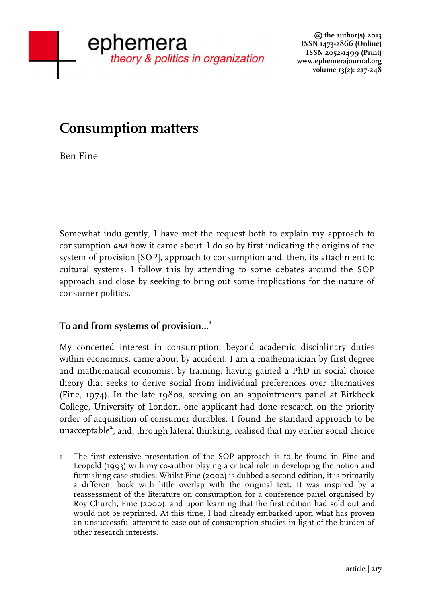**the author(s) 2013 ISSN 1473-2866 (Online) ISSN 2052-1499 (Print) www.ephemerajournal.org volume 13(2): 217-248**

# **Consumption matters**

Ben Fine

Somewhat indulgently, I have met the request both to explain my approach to consumption *and* how it came about. I do so by first indicating the origins of the system of provision [SOP], approach to consumption and, then, its attachment to cultural systems. I follow this by attending to some debates around the SOP approach and close by seeking to bring out some implications for the nature of consumer politics.

# **To and from systems of provision…<sup>1</sup>**

My concerted interest in consumption, beyond academic disciplinary duties within economics, came about by accident. I am a mathematician by first degree and mathematical economist by training, having gained a PhD in social choice theory that seeks to derive social from individual preferences over alternatives (Fine, 1974). In the late 1980s, serving on an appointments panel at Birkbeck College, University of London, one applicant had done research on the priority order of acquisition of consumer durables. I found the standard approach to be unacceptable<sup>2</sup>, and, through lateral thinking, realised that my earlier social choice

 1 The first extensive presentation of the SOP approach is to be found in Fine and Leopold (1993) with my co-author playing a critical role in developing the notion and furnishing case studies. Whilst Fine (2002) is dubbed a second edition, it is primarily a different book with little overlap with the original text. It was inspired by a reassessment of the literature on consumption for a conference panel organised by Roy Church, Fine (2000), and upon learning that the first edition had sold out and would not be reprinted. At this time, I had already embarked upon what has proven an unsuccessful attempt to ease out of consumption studies in light of the burden of other research interests.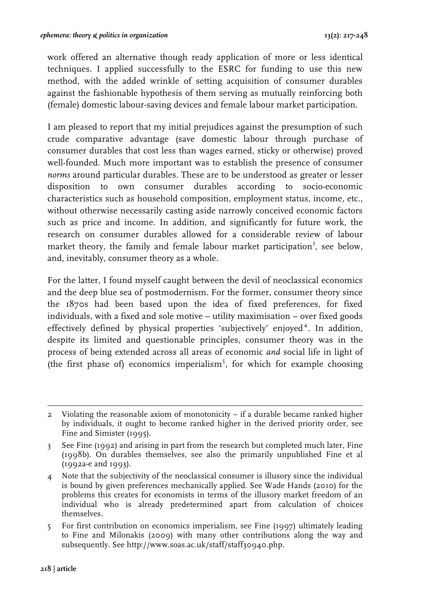work offered an alternative though ready application of more or less identical techniques. I applied successfully to the ESRC for funding to use this new method, with the added wrinkle of setting acquisition of consumer durables against the fashionable hypothesis of them serving as mutually reinforcing both (female) domestic labour-saving devices and female labour market participation.

I am pleased to report that my initial prejudices against the presumption of such crude comparative advantage (save domestic labour through purchase of consumer durables that cost less than wages earned, sticky or otherwise) proved well-founded. Much more important was to establish the presence of consumer *norms* around particular durables. These are to be understood as greater or lesser disposition to own consumer durables according to socio-economic characteristics such as household composition, employment status, income, etc., without otherwise necessarily casting aside narrowly conceived economic factors such as price and income. In addition, and significantly for future work, the research on consumer durables allowed for a considerable review of labour market theory, the family and female labour market participation<sup>3</sup>, see below, and, inevitably, consumer theory as a whole.

For the latter, I found myself caught between the devil of neoclassical economics and the deep blue sea of postmodernism. For the former, consumer theory since the 1870s had been based upon the idea of fixed preferences, for fixed individuals, with a fixed and sole motive – utility maximisation – over fixed goods effectively defined by physical properties 'subjectively' enjoyed<sup>4</sup>. In addition, despite its limited and questionable principles, consumer theory was in the process of being extended across all areas of economic *and* social life in light of (the first phase of) economics imperialism<sup>5</sup>, for which for example choosing

5 For first contribution on economics imperialism, see Fine (1997) ultimately leading to Fine and Milonakis (2009) with many other contributions along the way and subsequently. See http://www.soas.ac.uk/staff/staff30940.php.

 2 Violating the reasonable axiom of monotonicity – if a durable became ranked higher by individuals, it ought to become ranked higher in the derived priority order, see Fine and Simister (1995).

<sup>3</sup> See Fine (1992) and arising in part from the research but completed much later, Fine (1998b). On durables themselves, see also the primarily unpublished Fine et al (1992a-e and 1993).

<sup>4</sup> Note that the subjectivity of the neoclassical consumer is illusory since the individual is bound by given preferences mechanically applied. See Wade Hands (2010) for the problems this creates for economists in terms of the illusory market freedom of an individual who is already predetermined apart from calculation of choices themselves.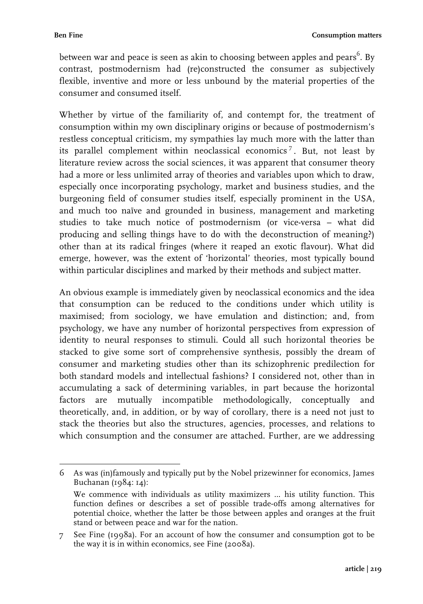between war and peace is seen as akin to choosing between apples and pears $^6$ . By contrast, postmodernism had (re)constructed the consumer as subjectively flexible, inventive and more or less unbound by the material properties of the consumer and consumed itself.

Whether by virtue of the familiarity of, and contempt for, the treatment of consumption within my own disciplinary origins or because of postmodernism's restless conceptual criticism, my sympathies lay much more with the latter than its parallel complement within neoclassical economics<sup>7</sup>. But, not least by literature review across the social sciences, it was apparent that consumer theory had a more or less unlimited array of theories and variables upon which to draw, especially once incorporating psychology, market and business studies, and the burgeoning field of consumer studies itself, especially prominent in the USA, and much too naïve and grounded in business, management and marketing studies to take much notice of postmodernism (or vice-versa – what did producing and selling things have to do with the deconstruction of meaning?) other than at its radical fringes (where it reaped an exotic flavour). What did emerge, however, was the extent of 'horizontal' theories, most typically bound within particular disciplines and marked by their methods and subject matter.

An obvious example is immediately given by neoclassical economics and the idea that consumption can be reduced to the conditions under which utility is maximised; from sociology, we have emulation and distinction; and, from psychology, we have any number of horizontal perspectives from expression of identity to neural responses to stimuli. Could all such horizontal theories be stacked to give some sort of comprehensive synthesis, possibly the dream of consumer and marketing studies other than its schizophrenic predilection for both standard models and intellectual fashions? I considered not, other than in accumulating a sack of determining variables, in part because the horizontal factors are mutually incompatible methodologically, conceptually and theoretically, and, in addition, or by way of corollary, there is a need not just to stack the theories but also the structures, agencies, processes, and relations to which consumption and the consumer are attached. Further, are we addressing

 $\begin{array}{c|cccc}\n\hline\n\end{array}\n\qquad \qquad \begin{array}{c|cccc}\n\hline\n\end{array}\n\qquad \qquad \begin{array}{c|cccc}\n\hline\n\end{array}\n\qquad \qquad \begin{array}{c|cccc}\n\hline\n\end{array}\n\qquad \qquad \begin{array}{c|cccc}\n\hline\n\end{array}\n\qquad \qquad \begin{array}{c|cccc}\n\hline\n\end{array}\n\qquad \qquad \begin{array}{c|cccc}\n\hline\n\end{array}\n\qquad \qquad \begin{array}{c|cccc}\n\hline\n\end{array}\n\qquad \qquad \begin{array}{c|cccc}\n\h$ 6 As was (in)famously and typically put by the Nobel prizewinner for economics, James Buchanan (1984: 14):

We commence with individuals as utility maximizers … his utility function. This function defines or describes a set of possible trade-offs among alternatives for potential choice, whether the latter be those between apples and oranges at the fruit stand or between peace and war for the nation.

<sup>7</sup> See Fine (1998a). For an account of how the consumer and consumption got to be the way it is in within economics, see Fine (2008a).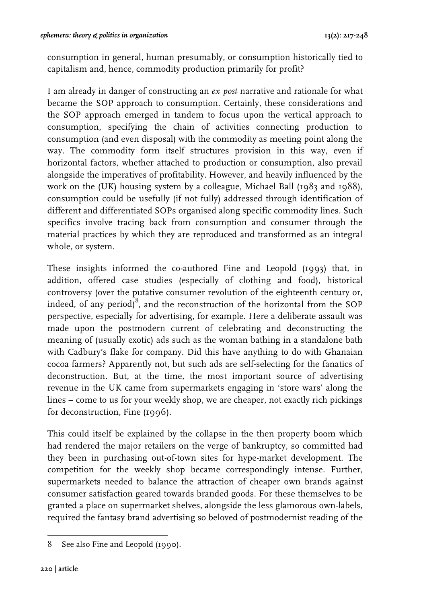consumption in general, human presumably, or consumption historically tied to capitalism and, hence, commodity production primarily for profit?

I am already in danger of constructing an *ex post* narrative and rationale for what became the SOP approach to consumption. Certainly, these considerations and the SOP approach emerged in tandem to focus upon the vertical approach to consumption, specifying the chain of activities connecting production to consumption (and even disposal) with the commodity as meeting point along the way. The commodity form itself structures provision in this way, even if horizontal factors, whether attached to production or consumption, also prevail alongside the imperatives of profitability. However, and heavily influenced by the work on the (UK) housing system by a colleague, Michael Ball (1983 and 1988), consumption could be usefully (if not fully) addressed through identification of different and differentiated SOPs organised along specific commodity lines. Such specifics involve tracing back from consumption and consumer through the material practices by which they are reproduced and transformed as an integral whole, or system.

These insights informed the co-authored Fine and Leopold (1993) that, in addition, offered case studies (especially of clothing and food), historical controversy (over the putative consumer revolution of the eighteenth century or, indeed, of any period)<sup>8</sup>, and the reconstruction of the horizontal from the SOP perspective, especially for advertising, for example. Here a deliberate assault was made upon the postmodern current of celebrating and deconstructing the meaning of (usually exotic) ads such as the woman bathing in a standalone bath with Cadbury's flake for company. Did this have anything to do with Ghanaian cocoa farmers? Apparently not, but such ads are self-selecting for the fanatics of deconstruction. But, at the time, the most important source of advertising revenue in the UK came from supermarkets engaging in 'store wars' along the lines – come to us for your weekly shop, we are cheaper, not exactly rich pickings for deconstruction, Fine (1996).

This could itself be explained by the collapse in the then property boom which had rendered the major retailers on the verge of bankruptcy, so committed had they been in purchasing out-of-town sites for hype-market development. The competition for the weekly shop became correspondingly intense. Further, supermarkets needed to balance the attraction of cheaper own brands against consumer satisfaction geared towards branded goods. For these themselves to be granted a place on supermarket shelves, alongside the less glamorous own-labels, required the fantasy brand advertising so beloved of postmodernist reading of the

 8 See also Fine and Leopold (1990).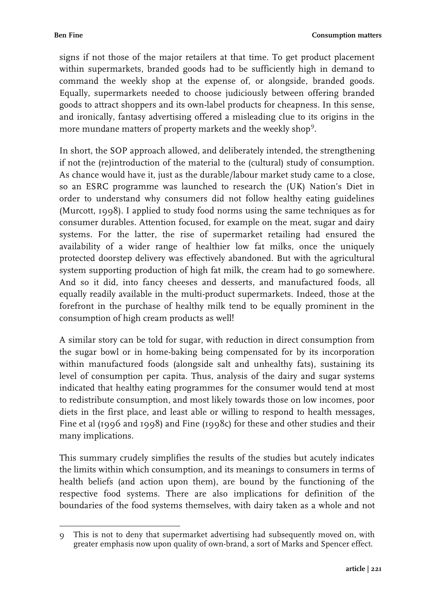signs if not those of the major retailers at that time. To get product placement within supermarkets, branded goods had to be sufficiently high in demand to command the weekly shop at the expense of, or alongside, branded goods. Equally, supermarkets needed to choose judiciously between offering branded goods to attract shoppers and its own-label products for cheapness. In this sense, and ironically, fantasy advertising offered a misleading clue to its origins in the more mundane matters of property markets and the weekly shop $^9$ .

In short, the SOP approach allowed, and deliberately intended, the strengthening if not the (re)introduction of the material to the (cultural) study of consumption. As chance would have it, just as the durable/labour market study came to a close, so an ESRC programme was launched to research the (UK) Nation's Diet in order to understand why consumers did not follow healthy eating guidelines (Murcott, 1998). I applied to study food norms using the same techniques as for consumer durables. Attention focused, for example on the meat, sugar and dairy systems. For the latter, the rise of supermarket retailing had ensured the availability of a wider range of healthier low fat milks, once the uniquely protected doorstep delivery was effectively abandoned. But with the agricultural system supporting production of high fat milk, the cream had to go somewhere. And so it did, into fancy cheeses and desserts, and manufactured foods, all equally readily available in the multi-product supermarkets. Indeed, those at the forefront in the purchase of healthy milk tend to be equally prominent in the consumption of high cream products as well!

A similar story can be told for sugar, with reduction in direct consumption from the sugar bowl or in home-baking being compensated for by its incorporation within manufactured foods (alongside salt and unhealthy fats), sustaining its level of consumption per capita. Thus, analysis of the dairy and sugar systems indicated that healthy eating programmes for the consumer would tend at most to redistribute consumption, and most likely towards those on low incomes, poor diets in the first place, and least able or willing to respond to health messages, Fine et al (1996 and 1998) and Fine (1998c) for these and other studies and their many implications.

This summary crudely simplifies the results of the studies but acutely indicates the limits within which consumption, and its meanings to consumers in terms of health beliefs (and action upon them), are bound by the functioning of the respective food systems. There are also implications for definition of the boundaries of the food systems themselves, with dairy taken as a whole and not

 9 This is not to deny that supermarket advertising had subsequently moved on, with greater emphasis now upon quality of own-brand, a sort of Marks and Spencer effect.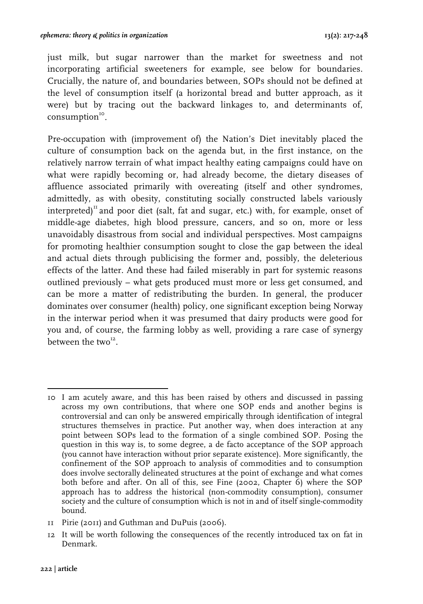just milk, but sugar narrower than the market for sweetness and not incorporating artificial sweeteners for example, see below for boundaries. Crucially, the nature of, and boundaries between, SOPs should not be defined at the level of consumption itself (a horizontal bread and butter approach, as it were) but by tracing out the backward linkages to, and determinants of,  $consumption<sup>10</sup>$ .

Pre-occupation with (improvement of) the Nation's Diet inevitably placed the culture of consumption back on the agenda but, in the first instance, on the relatively narrow terrain of what impact healthy eating campaigns could have on what were rapidly becoming or, had already become, the dietary diseases of affluence associated primarily with overeating (itself and other syndromes, admittedly, as with obesity, constituting socially constructed labels variously interpreted)<sup>11</sup> and poor diet (salt, fat and sugar, etc.) with, for example, onset of middle-age diabetes, high blood pressure, cancers, and so on, more or less unavoidably disastrous from social and individual perspectives. Most campaigns for promoting healthier consumption sought to close the gap between the ideal and actual diets through publicising the former and, possibly, the deleterious effects of the latter. And these had failed miserably in part for systemic reasons outlined previously – what gets produced must more or less get consumed, and can be more a matter of redistributing the burden. In general, the producer dominates over consumer (health) policy, one significant exception being Norway in the interwar period when it was presumed that dairy products were good for you and, of course, the farming lobby as well, providing a rare case of synergy between the two $^{12}$ .

 10 I am acutely aware, and this has been raised by others and discussed in passing across my own contributions, that where one SOP ends and another begins is controversial and can only be answered empirically through identification of integral structures themselves in practice. Put another way, when does interaction at any point between SOPs lead to the formation of a single combined SOP. Posing the question in this way is, to some degree, a de facto acceptance of the SOP approach (you cannot have interaction without prior separate existence). More significantly, the confinement of the SOP approach to analysis of commodities and to consumption does involve sectorally delineated structures at the point of exchange and what comes both before and after. On all of this, see Fine (2002, Chapter 6) where the SOP approach has to address the historical (non-commodity consumption), consumer society and the culture of consumption which is not in and of itself single-commodity bound.

<sup>11</sup> Pirie (2011) and Guthman and DuPuis (2006).

<sup>12</sup> It will be worth following the consequences of the recently introduced tax on fat in Denmark.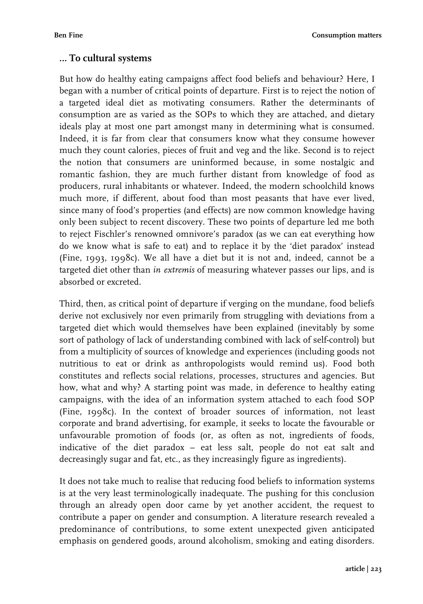### **… To cultural systems**

But how do healthy eating campaigns affect food beliefs and behaviour? Here, I began with a number of critical points of departure. First is to reject the notion of a targeted ideal diet as motivating consumers. Rather the determinants of consumption are as varied as the SOPs to which they are attached, and dietary ideals play at most one part amongst many in determining what is consumed. Indeed, it is far from clear that consumers know what they consume however much they count calories, pieces of fruit and veg and the like. Second is to reject the notion that consumers are uninformed because, in some nostalgic and romantic fashion, they are much further distant from knowledge of food as producers, rural inhabitants or whatever. Indeed, the modern schoolchild knows much more, if different, about food than most peasants that have ever lived, since many of food's properties (and effects) are now common knowledge having only been subject to recent discovery. These two points of departure led me both to reject Fischler's renowned omnivore's paradox (as we can eat everything how do we know what is safe to eat) and to replace it by the 'diet paradox' instead (Fine, 1993, 1998c). We all have a diet but it is not and, indeed, cannot be a targeted diet other than *in extremis* of measuring whatever passes our lips, and is absorbed or excreted.

Third, then, as critical point of departure if verging on the mundane, food beliefs derive not exclusively nor even primarily from struggling with deviations from a targeted diet which would themselves have been explained (inevitably by some sort of pathology of lack of understanding combined with lack of self-control) but from a multiplicity of sources of knowledge and experiences (including goods not nutritious to eat or drink as anthropologists would remind us). Food both constitutes and reflects social relations, processes, structures and agencies. But how, what and why? A starting point was made, in deference to healthy eating campaigns, with the idea of an information system attached to each food SOP (Fine, 1998c). In the context of broader sources of information, not least corporate and brand advertising, for example, it seeks to locate the favourable or unfavourable promotion of foods (or, as often as not, ingredients of foods, indicative of the diet paradox – eat less salt, people do not eat salt and decreasingly sugar and fat, etc., as they increasingly figure as ingredients).

It does not take much to realise that reducing food beliefs to information systems is at the very least terminologically inadequate. The pushing for this conclusion through an already open door came by yet another accident, the request to contribute a paper on gender and consumption. A literature research revealed a predominance of contributions, to some extent unexpected given anticipated emphasis on gendered goods, around alcoholism, smoking and eating disorders.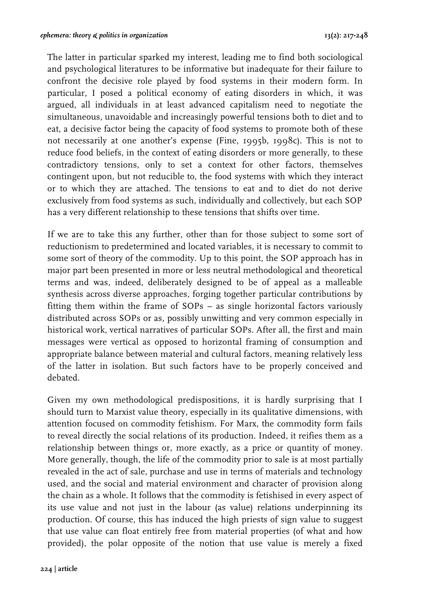The latter in particular sparked my interest, leading me to find both sociological and psychological literatures to be informative but inadequate for their failure to confront the decisive role played by food systems in their modern form. In particular, I posed a political economy of eating disorders in which, it was argued, all individuals in at least advanced capitalism need to negotiate the simultaneous, unavoidable and increasingly powerful tensions both to diet and to eat, a decisive factor being the capacity of food systems to promote both of these not necessarily at one another's expense (Fine, 1995b, 1998c). This is not to reduce food beliefs, in the context of eating disorders or more generally, to these contradictory tensions, only to set a context for other factors, themselves contingent upon, but not reducible to, the food systems with which they interact or to which they are attached. The tensions to eat and to diet do not derive exclusively from food systems as such, individually and collectively, but each SOP has a very different relationship to these tensions that shifts over time.

If we are to take this any further, other than for those subject to some sort of reductionism to predetermined and located variables, it is necessary to commit to some sort of theory of the commodity. Up to this point, the SOP approach has in major part been presented in more or less neutral methodological and theoretical terms and was, indeed, deliberately designed to be of appeal as a malleable synthesis across diverse approaches, forging together particular contributions by fitting them within the frame of SOPs – as single horizontal factors variously distributed across SOPs or as, possibly unwitting and very common especially in historical work, vertical narratives of particular SOPs. After all, the first and main messages were vertical as opposed to horizontal framing of consumption and appropriate balance between material and cultural factors, meaning relatively less of the latter in isolation. But such factors have to be properly conceived and debated.

Given my own methodological predispositions, it is hardly surprising that I should turn to Marxist value theory, especially in its qualitative dimensions, with attention focused on commodity fetishism. For Marx, the commodity form fails to reveal directly the social relations of its production. Indeed, it reifies them as a relationship between things or, more exactly, as a price or quantity of money. More generally, though, the life of the commodity prior to sale is at most partially revealed in the act of sale, purchase and use in terms of materials and technology used, and the social and material environment and character of provision along the chain as a whole. It follows that the commodity is fetishised in every aspect of its use value and not just in the labour (as value) relations underpinning its production. Of course, this has induced the high priests of sign value to suggest that use value can float entirely free from material properties (of what and how provided), the polar opposite of the notion that use value is merely a fixed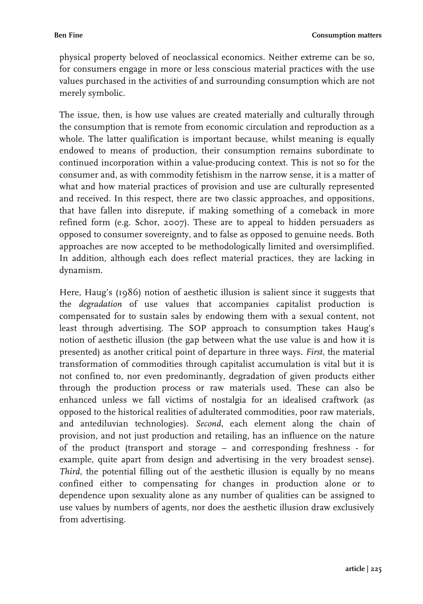physical property beloved of neoclassical economics. Neither extreme can be so, for consumers engage in more or less conscious material practices with the use values purchased in the activities of and surrounding consumption which are not merely symbolic.

The issue, then, is how use values are created materially and culturally through the consumption that is remote from economic circulation and reproduction as a whole. The latter qualification is important because, whilst meaning is equally endowed to means of production, their consumption remains subordinate to continued incorporation within a value-producing context. This is not so for the consumer and, as with commodity fetishism in the narrow sense, it is a matter of what and how material practices of provision and use are culturally represented and received. In this respect, there are two classic approaches, and oppositions, that have fallen into disrepute, if making something of a comeback in more refined form (e.g. Schor, 2007). These are to appeal to hidden persuaders as opposed to consumer sovereignty, and to false as opposed to genuine needs. Both approaches are now accepted to be methodologically limited and oversimplified. In addition, although each does reflect material practices, they are lacking in dynamism.

Here, Haug's (1986) notion of aesthetic illusion is salient since it suggests that the *degradation* of use values that accompanies capitalist production is compensated for to sustain sales by endowing them with a sexual content, not least through advertising. The SOP approach to consumption takes Haug's notion of aesthetic illusion (the gap between what the use value is and how it is presented) as another critical point of departure in three ways. *First*, the material transformation of commodities through capitalist accumulation is vital but it is not confined to, nor even predominantly, degradation of given products either through the production process or raw materials used. These can also be enhanced unless we fall victims of nostalgia for an idealised craftwork (as opposed to the historical realities of adulterated commodities, poor raw materials, and antediluvian technologies). *Second*, each element along the chain of provision, and not just production and retailing, has an influence on the nature of the product (transport and storage – and corresponding freshness - for example, quite apart from design and advertising in the very broadest sense). *Third*, the potential filling out of the aesthetic illusion is equally by no means confined either to compensating for changes in production alone or to dependence upon sexuality alone as any number of qualities can be assigned to use values by numbers of agents, nor does the aesthetic illusion draw exclusively from advertising.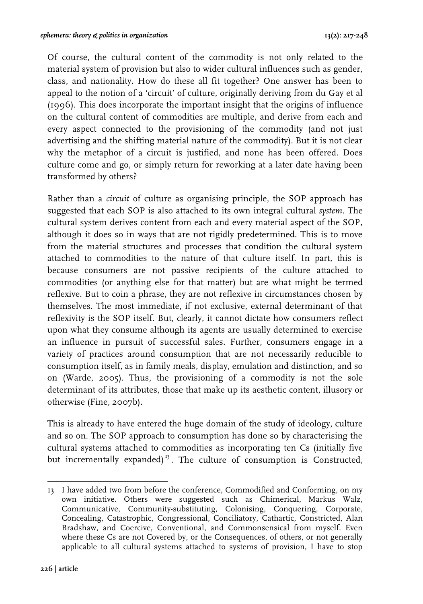Of course, the cultural content of the commodity is not only related to the material system of provision but also to wider cultural influences such as gender, class, and nationality. How do these all fit together? One answer has been to appeal to the notion of a 'circuit' of culture, originally deriving from du Gay et al (1996). This does incorporate the important insight that the origins of influence on the cultural content of commodities are multiple, and derive from each and every aspect connected to the provisioning of the commodity (and not just advertising and the shifting material nature of the commodity). But it is not clear why the metaphor of a circuit is justified, and none has been offered. Does culture come and go, or simply return for reworking at a later date having been transformed by others?

Rather than a *circuit* of culture as organising principle, the SOP approach has suggested that each SOP is also attached to its own integral cultural *system*. The cultural system derives content from each and every material aspect of the SOP, although it does so in ways that are not rigidly predetermined. This is to move from the material structures and processes that condition the cultural system attached to commodities to the nature of that culture itself. In part, this is because consumers are not passive recipients of the culture attached to commodities (or anything else for that matter) but are what might be termed reflexive. But to coin a phrase, they are not reflexive in circumstances chosen by themselves. The most immediate, if not exclusive, external determinant of that reflexivity is the SOP itself. But, clearly, it cannot dictate how consumers reflect upon what they consume although its agents are usually determined to exercise an influence in pursuit of successful sales. Further, consumers engage in a variety of practices around consumption that are not necessarily reducible to consumption itself, as in family meals, display, emulation and distinction, and so on (Warde, 2005). Thus, the provisioning of a commodity is not the sole determinant of its attributes, those that make up its aesthetic content, illusory or otherwise (Fine, 2007b).

This is already to have entered the huge domain of the study of ideology, culture and so on. The SOP approach to consumption has done so by characterising the cultural systems attached to commodities as incorporating ten Cs (initially five but incrementally expanded)<sup>13</sup>. The culture of consumption is Constructed,

 13 I have added two from before the conference, Commodified and Conforming, on my own initiative. Others were suggested such as Chimerical, Markus Walz, Communicative, Community-substituting, Colonising, Conquering, Corporate, Concealing, Catastrophic, Congressional, Conciliatory, Cathartic, Constricted, Alan Bradshaw, and Coercive, Conventional, and Commonsensical from myself. Even where these Cs are not Covered by, or the Consequences, of others, or not generally applicable to all cultural systems attached to systems of provision, I have to stop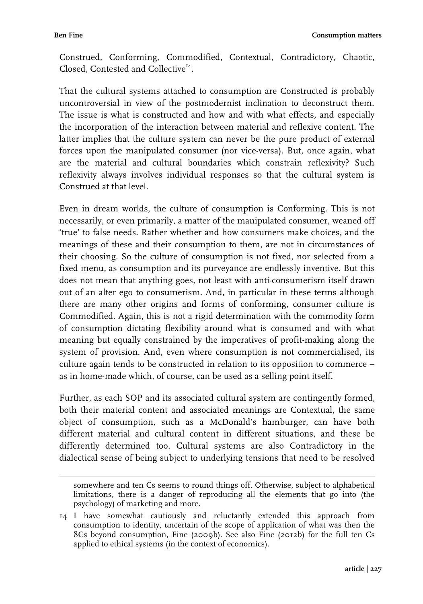Construed, Conforming, Commodified, Contextual, Contradictory, Chaotic, Closed, Contested and Collective<sup>14</sup>.

That the cultural systems attached to consumption are Constructed is probably uncontroversial in view of the postmodernist inclination to deconstruct them. The issue is what is constructed and how and with what effects, and especially the incorporation of the interaction between material and reflexive content. The latter implies that the culture system can never be the pure product of external forces upon the manipulated consumer (nor vice-versa). But, once again, what are the material and cultural boundaries which constrain reflexivity? Such reflexivity always involves individual responses so that the cultural system is Construed at that level.

Even in dream worlds, the culture of consumption is Conforming. This is not necessarily, or even primarily, a matter of the manipulated consumer, weaned off 'true' to false needs. Rather whether and how consumers make choices, and the meanings of these and their consumption to them, are not in circumstances of their choosing. So the culture of consumption is not fixed, nor selected from a fixed menu, as consumption and its purveyance are endlessly inventive. But this does not mean that anything goes, not least with anti-consumerism itself drawn out of an alter ego to consumerism. And, in particular in these terms although there are many other origins and forms of conforming, consumer culture is Commodified. Again, this is not a rigid determination with the commodity form of consumption dictating flexibility around what is consumed and with what meaning but equally constrained by the imperatives of profit-making along the system of provision. And, even where consumption is not commercialised, its culture again tends to be constructed in relation to its opposition to commerce – as in home-made which, of course, can be used as a selling point itself.

Further, as each SOP and its associated cultural system are contingently formed, both their material content and associated meanings are Contextual, the same object of consumption, such as a McDonald's hamburger, can have both different material and cultural content in different situations, and these be differently determined too. Cultural systems are also Contradictory in the dialectical sense of being subject to underlying tensions that need to be resolved

 somewhere and ten Cs seems to round things off. Otherwise, subject to alphabetical limitations, there is a danger of reproducing all the elements that go into (the psychology) of marketing and more.

<sup>14</sup> I have somewhat cautiously and reluctantly extended this approach from consumption to identity, uncertain of the scope of application of what was then the 8Cs beyond consumption, Fine (2009b). See also Fine (2012b) for the full ten Cs applied to ethical systems (in the context of economics).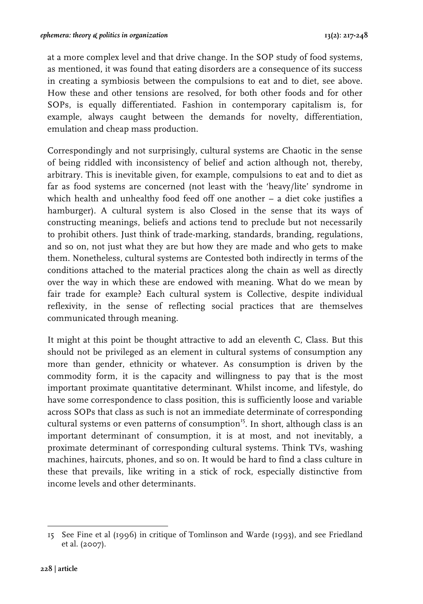at a more complex level and that drive change. In the SOP study of food systems, as mentioned, it was found that eating disorders are a consequence of its success in creating a symbiosis between the compulsions to eat and to diet, see above. How these and other tensions are resolved, for both other foods and for other SOPs, is equally differentiated. Fashion in contemporary capitalism is, for example, always caught between the demands for novelty, differentiation, emulation and cheap mass production.

Correspondingly and not surprisingly, cultural systems are Chaotic in the sense of being riddled with inconsistency of belief and action although not, thereby, arbitrary. This is inevitable given, for example, compulsions to eat and to diet as far as food systems are concerned (not least with the 'heavy/lite' syndrome in which health and unhealthy food feed off one another - a diet coke justifies a hamburger). A cultural system is also Closed in the sense that its ways of constructing meanings, beliefs and actions tend to preclude but not necessarily to prohibit others. Just think of trade-marking, standards, branding, regulations, and so on, not just what they are but how they are made and who gets to make them. Nonetheless, cultural systems are Contested both indirectly in terms of the conditions attached to the material practices along the chain as well as directly over the way in which these are endowed with meaning. What do we mean by fair trade for example? Each cultural system is Collective, despite individual reflexivity, in the sense of reflecting social practices that are themselves communicated through meaning.

It might at this point be thought attractive to add an eleventh C, Class. But this should not be privileged as an element in cultural systems of consumption any more than gender, ethnicity or whatever. As consumption is driven by the commodity form, it is the capacity and willingness to pay that is the most important proximate quantitative determinant. Whilst income, and lifestyle, do have some correspondence to class position, this is sufficiently loose and variable across SOPs that class as such is not an immediate determinate of corresponding cultural systems or even patterns of consumption<sup>15</sup>. In short, although class is an important determinant of consumption, it is at most, and not inevitably, a proximate determinant of corresponding cultural systems. Think TVs, washing machines, haircuts, phones, and so on. It would be hard to find a class culture in these that prevails, like writing in a stick of rock, especially distinctive from income levels and other determinants.

 15 See Fine et al (1996) in critique of Tomlinson and Warde (1993), and see Friedland et al. (2007).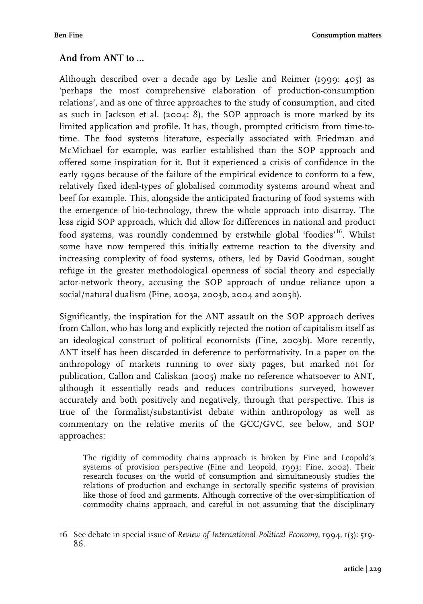# **And from ANT to …**

Although described over a decade ago by Leslie and Reimer (1999: 405) as 'perhaps the most comprehensive elaboration of production-consumption relations', and as one of three approaches to the study of consumption, and cited as such in Jackson et al. (2004: 8), the SOP approach is more marked by its limited application and profile. It has, though, prompted criticism from time-totime. The food systems literature, especially associated with Friedman and McMichael for example, was earlier established than the SOP approach and offered some inspiration for it. But it experienced a crisis of confidence in the early 1990s because of the failure of the empirical evidence to conform to a few, relatively fixed ideal-types of globalised commodity systems around wheat and beef for example. This, alongside the anticipated fracturing of food systems with the emergence of bio-technology, threw the whole approach into disarray. The less rigid SOP approach, which did allow for differences in national and product food systems, was roundly condemned by erstwhile global 'foodies'<sup>16</sup>. Whilst some have now tempered this initially extreme reaction to the diversity and increasing complexity of food systems, others, led by David Goodman, sought refuge in the greater methodological openness of social theory and especially actor-network theory, accusing the SOP approach of undue reliance upon a social/natural dualism (Fine, 2003a, 2003b, 2004 and 2005b).

Significantly, the inspiration for the ANT assault on the SOP approach derives from Callon, who has long and explicitly rejected the notion of capitalism itself as an ideological construct of political economists (Fine, 2003b). More recently, ANT itself has been discarded in deference to performativity. In a paper on the anthropology of markets running to over sixty pages, but marked not for publication, Callon and Caliskan (2005) make no reference whatsoever to ANT, although it essentially reads and reduces contributions surveyed, however accurately and both positively and negatively, through that perspective. This is true of the formalist/substantivist debate within anthropology as well as commentary on the relative merits of the GCC/GVC, see below, and SOP approaches:

The rigidity of commodity chains approach is broken by Fine and Leopold's systems of provision perspective (Fine and Leopold, 1993; Fine, 2002). Their research focuses on the world of consumption and simultaneously studies the relations of production and exchange in sectorally specific systems of provision like those of food and garments. Although corrective of the over-simplification of commodity chains approach, and careful in not assuming that the disciplinary

 $\frac{1}{\sqrt{2}}$ 16 See debate in special issue of *Review of International Political Economy*, 1994, 1(3): 519- 86.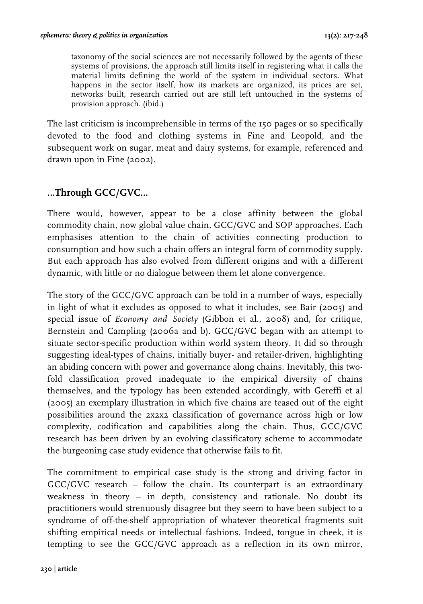taxonomy of the social sciences are not necessarily followed by the agents of these systems of provisions, the approach still limits itself in registering what it calls the material limits defining the world of the system in individual sectors. What happens in the sector itself, how its markets are organized, its prices are set, networks built, research carried out are still left untouched in the systems of provision approach. (ibid*.*)

The last criticism is incomprehensible in terms of the 150 pages or so specifically devoted to the food and clothing systems in Fine and Leopold, and the subsequent work on sugar, meat and dairy systems, for example, referenced and drawn upon in Fine (2002).

# **…Through GCC/GVC…**

There would, however, appear to be a close affinity between the global commodity chain, now global value chain, GCC/GVC and SOP approaches. Each emphasises attention to the chain of activities connecting production to consumption and how such a chain offers an integral form of commodity supply. But each approach has also evolved from different origins and with a different dynamic, with little or no dialogue between them let alone convergence.

The story of the GCC/GVC approach can be told in a number of ways, especially in light of what it excludes as opposed to what it includes, see Bair (2005) and special issue of *Economy and Society* (Gibbon et al., 2008) and, for critique, Bernstein and Campling (2006a and b). GCC/GVC began with an attempt to situate sector-specific production within world system theory. It did so through suggesting ideal-types of chains, initially buyer- and retailer-driven, highlighting an abiding concern with power and governance along chains. Inevitably, this twofold classification proved inadequate to the empirical diversity of chains themselves, and the typology has been extended accordingly, with Gereffi et al (2005) an exemplary illustration in which five chains are teased out of the eight possibilities around the 2x2x2 classification of governance across high or low complexity, codification and capabilities along the chain. Thus, GCC/GVC research has been driven by an evolving classificatory scheme to accommodate the burgeoning case study evidence that otherwise fails to fit.

The commitment to empirical case study is the strong and driving factor in GCC/GVC research – follow the chain. Its counterpart is an extraordinary weakness in theory – in depth, consistency and rationale. No doubt its practitioners would strenuously disagree but they seem to have been subject to a syndrome of off-the-shelf appropriation of whatever theoretical fragments suit shifting empirical needs or intellectual fashions. Indeed, tongue in cheek, it is tempting to see the GCC/GVC approach as a reflection in its own mirror,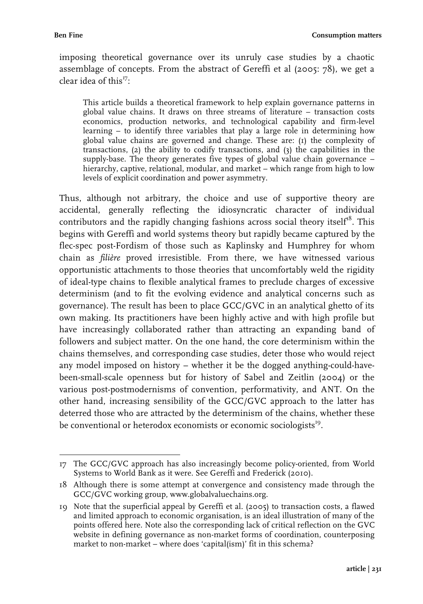imposing theoretical governance over its unruly case studies by a chaotic assemblage of concepts. From the abstract of Gereffi et al (2005: 78), we get a clear idea of this $^{17}$ .

This article builds a theoretical framework to help explain governance patterns in global value chains. It draws on three streams of literature – transaction costs economics, production networks, and technological capability and firm-level learning – to identify three variables that play a large role in determining how global value chains are governed and change. These are: (1) the complexity of transactions, (2) the ability to codify transactions, and (3) the capabilities in the supply-base. The theory generates five types of global value chain governance – hierarchy, captive, relational, modular, and market – which range from high to low levels of explicit coordination and power asymmetry.

Thus, although not arbitrary, the choice and use of supportive theory are accidental, generally reflecting the idiosyncratic character of individual contributors and the rapidly changing fashions across social theory itself<sup>18</sup>. This begins with Gereffi and world systems theory but rapidly became captured by the flec-spec post-Fordism of those such as Kaplinsky and Humphrey for whom chain as *filière* proved irresistible. From there, we have witnessed various opportunistic attachments to those theories that uncomfortably weld the rigidity of ideal-type chains to flexible analytical frames to preclude charges of excessive determinism (and to fit the evolving evidence and analytical concerns such as governance). The result has been to place GCC/GVC in an analytical ghetto of its own making. Its practitioners have been highly active and with high profile but have increasingly collaborated rather than attracting an expanding band of followers and subject matter. On the one hand, the core determinism within the chains themselves, and corresponding case studies, deter those who would reject any model imposed on history – whether it be the dogged anything-could-havebeen-small-scale openness but for history of Sabel and Zeitlin (2004) or the various post-postmodernisms of convention, performativity, and ANT. On the other hand, increasing sensibility of the GCC/GVC approach to the latter has deterred those who are attracted by the determinism of the chains, whether these be conventional or heterodox economists or economic sociologists<sup>19</sup>.

 17 The GCC/GVC approach has also increasingly become policy-oriented, from World Systems to World Bank as it were. See Gereffi and Frederick (2010).

<sup>18</sup> Although there is some attempt at convergence and consistency made through the GCC/GVC working group, www.globalvaluechains.org.

<sup>19</sup> Note that the superficial appeal by Gereffi et al. (2005) to transaction costs, a flawed and limited approach to economic organisation, is an ideal illustration of many of the points offered here. Note also the corresponding lack of critical reflection on the GVC website in defining governance as non-market forms of coordination, counterposing market to non-market – where does 'capital(ism)' fit in this schema?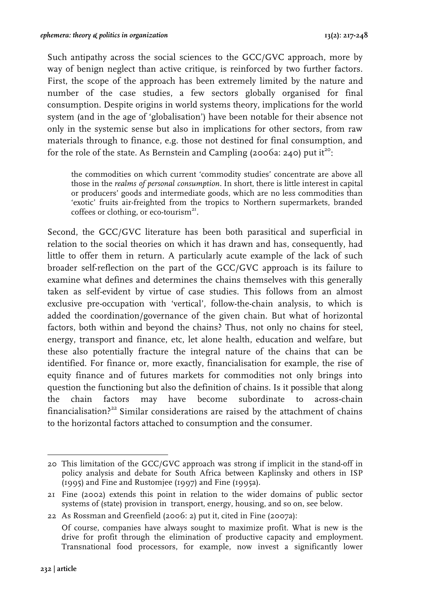Such antipathy across the social sciences to the GCC/GVC approach, more by way of benign neglect than active critique, is reinforced by two further factors. First, the scope of the approach has been extremely limited by the nature and number of the case studies, a few sectors globally organised for final consumption. Despite origins in world systems theory, implications for the world system (and in the age of 'globalisation') have been notable for their absence not only in the systemic sense but also in implications for other sectors, from raw materials through to finance, e.g. those not destined for final consumption, and for the role of the state. As Bernstein and Campling (2006a: 240) put it<sup>20</sup>:

the commodities on which current 'commodity studies' concentrate are above all those in the *realms of personal consumption*. In short, there is little interest in capital or producers' goods and intermediate goods, which are no less commodities than 'exotic' fruits air-freighted from the tropics to Northern supermarkets, branded coffees or clothing, or eco-tourism<sup>21</sup>.

Second, the GCC/GVC literature has been both parasitical and superficial in relation to the social theories on which it has drawn and has, consequently, had little to offer them in return. A particularly acute example of the lack of such broader self-reflection on the part of the GCC/GVC approach is its failure to examine what defines and determines the chains themselves with this generally taken as self-evident by virtue of case studies. This follows from an almost exclusive pre-occupation with 'vertical', follow-the-chain analysis, to which is added the coordination/governance of the given chain. But what of horizontal factors, both within and beyond the chains? Thus, not only no chains for steel, energy, transport and finance, etc, let alone health, education and welfare, but these also potentially fracture the integral nature of the chains that can be identified. For finance or, more exactly, financialisation for example, the rise of equity finance and of futures markets for commodities not only brings into question the functioning but also the definition of chains. Is it possible that along the chain factors may have become subordinate to across-chain financialisation? $22$  Similar considerations are raised by the attachment of chains to the horizontal factors attached to consumption and the consumer.

 20 This limitation of the GCC/GVC approach was strong if implicit in the stand-off in policy analysis and debate for South Africa between Kaplinsky and others in ISP (1995) and Fine and Rustomjee (1997) and Fine (1995a).

<sup>21</sup> Fine (2002) extends this point in relation to the wider domains of public sector systems of (state) provision in transport, energy, housing, and so on, see below.

<sup>22</sup> As Rossman and Greenfield (2006: 2) put it, cited in Fine (2007a): Of course, companies have always sought to maximize profit. What is new is the drive for profit through the elimination of productive capacity and employment. Transnational food processors, for example, now invest a significantly lower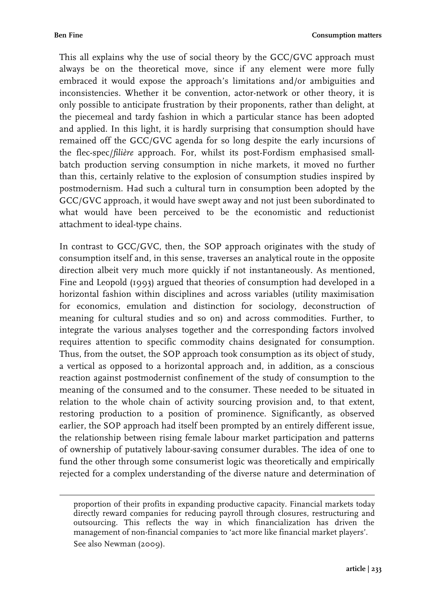This all explains why the use of social theory by the GCC/GVC approach must always be on the theoretical move, since if any element were more fully embraced it would expose the approach's limitations and/or ambiguities and inconsistencies. Whether it be convention, actor-network or other theory, it is only possible to anticipate frustration by their proponents, rather than delight, at the piecemeal and tardy fashion in which a particular stance has been adopted and applied. In this light, it is hardly surprising that consumption should have remained off the GCC/GVC agenda for so long despite the early incursions of the flec-spec/*filière* approach. For, whilst its post-Fordism emphasised smallbatch production serving consumption in niche markets, it moved no further than this, certainly relative to the explosion of consumption studies inspired by postmodernism. Had such a cultural turn in consumption been adopted by the GCC/GVC approach, it would have swept away and not just been subordinated to what would have been perceived to be the economistic and reductionist attachment to ideal-type chains.

In contrast to GCC/GVC, then, the SOP approach originates with the study of consumption itself and, in this sense, traverses an analytical route in the opposite direction albeit very much more quickly if not instantaneously. As mentioned, Fine and Leopold (1993) argued that theories of consumption had developed in a horizontal fashion within disciplines and across variables (utility maximisation for economics, emulation and distinction for sociology, deconstruction of meaning for cultural studies and so on) and across commodities. Further, to integrate the various analyses together and the corresponding factors involved requires attention to specific commodity chains designated for consumption. Thus, from the outset, the SOP approach took consumption as its object of study, a vertical as opposed to a horizontal approach and, in addition, as a conscious reaction against postmodernist confinement of the study of consumption to the meaning of the consumed and to the consumer. These needed to be situated in relation to the whole chain of activity sourcing provision and, to that extent, restoring production to a position of prominence. Significantly, as observed earlier, the SOP approach had itself been prompted by an entirely different issue, the relationship between rising female labour market participation and patterns of ownership of putatively labour-saving consumer durables. The idea of one to fund the other through some consumerist logic was theoretically and empirically rejected for a complex understanding of the diverse nature and determination of

 proportion of their profits in expanding productive capacity. Financial markets today directly reward companies for reducing payroll through closures, restructuring and outsourcing. This reflects the way in which financialization has driven the management of non-financial companies to 'act more like financial market players'. See also Newman (2009).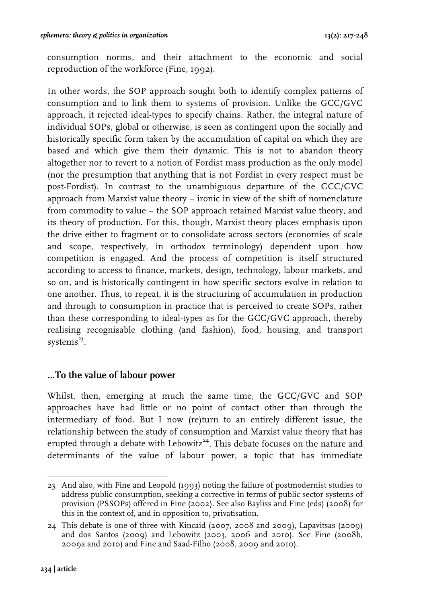consumption norms, and their attachment to the economic and social reproduction of the workforce (Fine, 1992).

In other words, the SOP approach sought both to identify complex patterns of consumption and to link them to systems of provision. Unlike the GCC/GVC approach, it rejected ideal-types to specify chains. Rather, the integral nature of individual SOPs, global or otherwise, is seen as contingent upon the socially and historically specific form taken by the accumulation of capital on which they are based and which give them their dynamic. This is not to abandon theory altogether nor to revert to a notion of Fordist mass production as the only model (nor the presumption that anything that is not Fordist in every respect must be post-Fordist). In contrast to the unambiguous departure of the GCC/GVC approach from Marxist value theory – ironic in view of the shift of nomenclature from commodity to value – the SOP approach retained Marxist value theory, and its theory of production. For this, though, Marxist theory places emphasis upon the drive either to fragment or to consolidate across sectors (economies of scale and scope, respectively, in orthodox terminology) dependent upon how competition is engaged. And the process of competition is itself structured according to access to finance, markets, design, technology, labour markets, and so on, and is historically contingent in how specific sectors evolve in relation to one another. Thus, to repeat, it is the structuring of accumulation in production and through to consumption in practice that is perceived to create SOPs, rather than these corresponding to ideal-types as for the GCC/GVC approach, thereby realising recognisable clothing (and fashion), food, housing, and transport systems $^{23}$ .

### **…To the value of labour power**

Whilst, then, emerging at much the same time, the GCC/GVC and SOP approaches have had little or no point of contact other than through the intermediary of food. But I now (re)turn to an entirely different issue, the relationship between the study of consumption and Marxist value theory that has erupted through a debate with Lebowitz<sup>24</sup>. This debate focuses on the nature and determinants of the value of labour power, a topic that has immediate

 23 And also, with Fine and Leopold (1993) noting the failure of postmodernist studies to address public consumption, seeking a corrective in terms of public sector systems of provision (PSSOPs) offered in Fine (2002). See also Bayliss and Fine (eds) (2008) for this in the context of, and in opposition to, privatisation.

<sup>24</sup> This debate is one of three with Kincaid (2007, 2008 and 2009), Lapavitsas (2009) and dos Santos (2009) and Lebowitz (2003, 2006 and 2010). See Fine (2008b, 2009a and 2010) and Fine and Saad-Filho (2008, 2009 and 2010).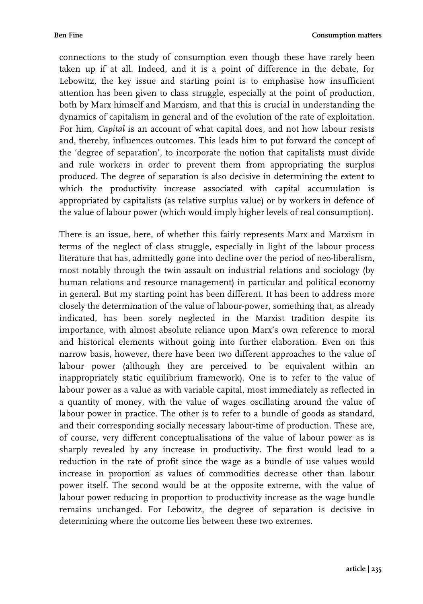connections to the study of consumption even though these have rarely been taken up if at all. Indeed, and it is a point of difference in the debate, for Lebowitz, the key issue and starting point is to emphasise how insufficient attention has been given to class struggle, especially at the point of production, both by Marx himself and Marxism, and that this is crucial in understanding the dynamics of capitalism in general and of the evolution of the rate of exploitation. For him, *Capital* is an account of what capital does, and not how labour resists and, thereby, influences outcomes. This leads him to put forward the concept of the 'degree of separation', to incorporate the notion that capitalists must divide and rule workers in order to prevent them from appropriating the surplus produced. The degree of separation is also decisive in determining the extent to which the productivity increase associated with capital accumulation is appropriated by capitalists (as relative surplus value) or by workers in defence of the value of labour power (which would imply higher levels of real consumption).

There is an issue, here, of whether this fairly represents Marx and Marxism in terms of the neglect of class struggle, especially in light of the labour process literature that has, admittedly gone into decline over the period of neo-liberalism, most notably through the twin assault on industrial relations and sociology (by human relations and resource management) in particular and political economy in general. But my starting point has been different. It has been to address more closely the determination of the value of labour-power, something that, as already indicated, has been sorely neglected in the Marxist tradition despite its importance, with almost absolute reliance upon Marx's own reference to moral and historical elements without going into further elaboration. Even on this narrow basis, however, there have been two different approaches to the value of labour power (although they are perceived to be equivalent within an inappropriately static equilibrium framework). One is to refer to the value of labour power as a value as with variable capital, most immediately as reflected in a quantity of money, with the value of wages oscillating around the value of labour power in practice. The other is to refer to a bundle of goods as standard, and their corresponding socially necessary labour-time of production. These are, of course, very different conceptualisations of the value of labour power as is sharply revealed by any increase in productivity. The first would lead to a reduction in the rate of profit since the wage as a bundle of use values would increase in proportion as values of commodities decrease other than labour power itself. The second would be at the opposite extreme, with the value of labour power reducing in proportion to productivity increase as the wage bundle remains unchanged. For Lebowitz, the degree of separation is decisive in determining where the outcome lies between these two extremes.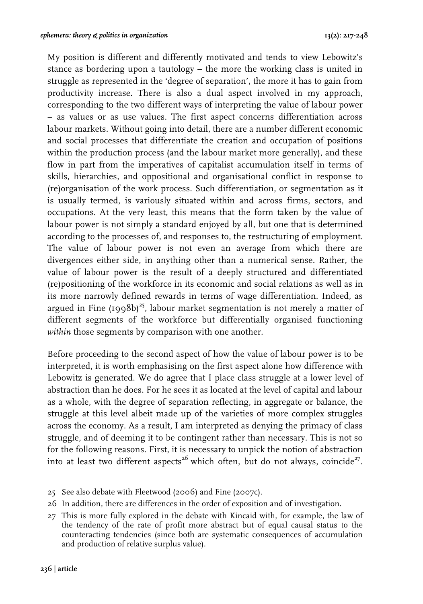My position is different and differently motivated and tends to view Lebowitz's stance as bordering upon a tautology – the more the working class is united in struggle as represented in the 'degree of separation', the more it has to gain from productivity increase. There is also a dual aspect involved in my approach, corresponding to the two different ways of interpreting the value of labour power – as values or as use values. The first aspect concerns differentiation across labour markets. Without going into detail, there are a number different economic and social processes that differentiate the creation and occupation of positions within the production process (and the labour market more generally), and these flow in part from the imperatives of capitalist accumulation itself in terms of skills, hierarchies, and oppositional and organisational conflict in response to (re)organisation of the work process. Such differentiation, or segmentation as it is usually termed, is variously situated within and across firms, sectors, and occupations. At the very least, this means that the form taken by the value of labour power is not simply a standard enjoyed by all, but one that is determined according to the processes of, and responses to, the restructuring of employment. The value of labour power is not even an average from which there are divergences either side, in anything other than a numerical sense. Rather, the value of labour power is the result of a deeply structured and differentiated (re)positioning of the workforce in its economic and social relations as well as in its more narrowly defined rewards in terms of wage differentiation. Indeed, as argued in Fine  $(1998b)^{25}$ , labour market segmentation is not merely a matter of different segments of the workforce but differentially organised functioning *within* those segments by comparison with one another.

Before proceeding to the second aspect of how the value of labour power is to be interpreted, it is worth emphasising on the first aspect alone how difference with Lebowitz is generated. We do agree that I place class struggle at a lower level of abstraction than he does. For he sees it as located at the level of capital and labour as a whole, with the degree of separation reflecting, in aggregate or balance, the struggle at this level albeit made up of the varieties of more complex struggles across the economy. As a result, I am interpreted as denying the primacy of class struggle, and of deeming it to be contingent rather than necessary. This is not so for the following reasons. First, it is necessary to unpick the notion of abstraction into at least two different aspects<sup>26</sup> which often, but do not always, coincide<sup>27</sup>.

 25 See also debate with Fleetwood (2006) and Fine (2007c).

<sup>26</sup> In addition, there are differences in the order of exposition and of investigation.

<sup>27</sup> This is more fully explored in the debate with Kincaid with, for example, the law of the tendency of the rate of profit more abstract but of equal causal status to the counteracting tendencies (since both are systematic consequences of accumulation and production of relative surplus value).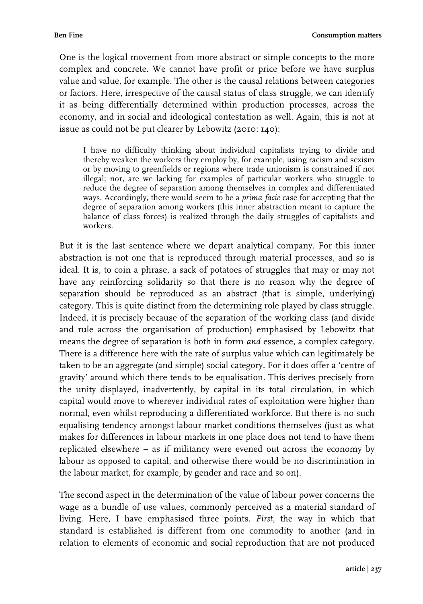One is the logical movement from more abstract or simple concepts to the more complex and concrete. We cannot have profit or price before we have surplus value and value, for example. The other is the causal relations between categories or factors. Here, irrespective of the causal status of class struggle, we can identify it as being differentially determined within production processes, across the economy, and in social and ideological contestation as well. Again, this is not at issue as could not be put clearer by Lebowitz (2010: 140):

I have no difficulty thinking about individual capitalists trying to divide and thereby weaken the workers they employ by, for example, using racism and sexism or by moving to greenfields or regions where trade unionism is constrained if not illegal; nor, are we lacking for examples of particular workers who struggle to reduce the degree of separation among themselves in complex and differentiated ways. Accordingly, there would seem to be a *prima facie* case for accepting that the degree of separation among workers (this inner abstraction meant to capture the balance of class forces) is realized through the daily struggles of capitalists and workers.

But it is the last sentence where we depart analytical company. For this inner abstraction is not one that is reproduced through material processes, and so is ideal. It is, to coin a phrase, a sack of potatoes of struggles that may or may not have any reinforcing solidarity so that there is no reason why the degree of separation should be reproduced as an abstract (that is simple, underlying) category. This is quite distinct from the determining role played by class struggle. Indeed, it is precisely because of the separation of the working class (and divide and rule across the organisation of production) emphasised by Lebowitz that means the degree of separation is both in form *and* essence, a complex category. There is a difference here with the rate of surplus value which can legitimately be taken to be an aggregate (and simple) social category. For it does offer a 'centre of gravity' around which there tends to be equalisation. This derives precisely from the unity displayed, inadvertently, by capital in its total circulation, in which capital would move to wherever individual rates of exploitation were higher than normal, even whilst reproducing a differentiated workforce. But there is no such equalising tendency amongst labour market conditions themselves (just as what makes for differences in labour markets in one place does not tend to have them replicated elsewhere – as if militancy were evened out across the economy by labour as opposed to capital, and otherwise there would be no discrimination in the labour market, for example, by gender and race and so on).

The second aspect in the determination of the value of labour power concerns the wage as a bundle of use values, commonly perceived as a material standard of living. Here, I have emphasised three points. *First*, the way in which that standard is established is different from one commodity to another (and in relation to elements of economic and social reproduction that are not produced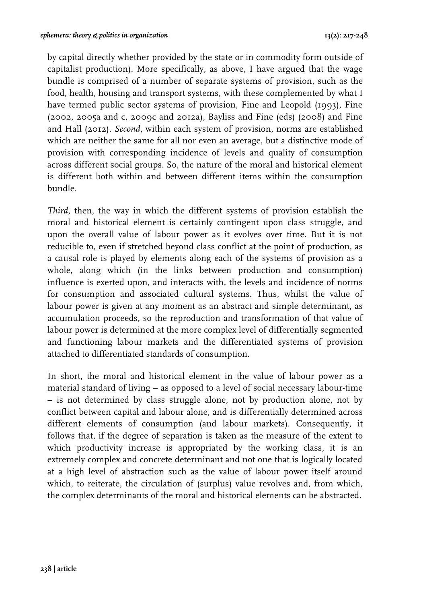by capital directly whether provided by the state or in commodity form outside of capitalist production). More specifically, as above, I have argued that the wage bundle is comprised of a number of separate systems of provision, such as the food, health, housing and transport systems, with these complemented by what I have termed public sector systems of provision, Fine and Leopold (1993), Fine (2002, 2005a and c, 2009c and 2012a), Bayliss and Fine (eds) (2008) and Fine and Hall (2012). *Second*, within each system of provision, norms are established which are neither the same for all nor even an average, but a distinctive mode of provision with corresponding incidence of levels and quality of consumption across different social groups. So, the nature of the moral and historical element is different both within and between different items within the consumption bundle.

*Third*, then, the way in which the different systems of provision establish the moral and historical element is certainly contingent upon class struggle, and upon the overall value of labour power as it evolves over time. But it is not reducible to, even if stretched beyond class conflict at the point of production, as a causal role is played by elements along each of the systems of provision as a whole, along which (in the links between production and consumption) influence is exerted upon, and interacts with, the levels and incidence of norms for consumption and associated cultural systems. Thus, whilst the value of labour power is given at any moment as an abstract and simple determinant, as accumulation proceeds, so the reproduction and transformation of that value of labour power is determined at the more complex level of differentially segmented and functioning labour markets and the differentiated systems of provision attached to differentiated standards of consumption.

In short, the moral and historical element in the value of labour power as a material standard of living – as opposed to a level of social necessary labour-time – is not determined by class struggle alone, not by production alone, not by conflict between capital and labour alone, and is differentially determined across different elements of consumption (and labour markets). Consequently, it follows that, if the degree of separation is taken as the measure of the extent to which productivity increase is appropriated by the working class, it is an extremely complex and concrete determinant and not one that is logically located at a high level of abstraction such as the value of labour power itself around which, to reiterate, the circulation of (surplus) value revolves and, from which, the complex determinants of the moral and historical elements can be abstracted.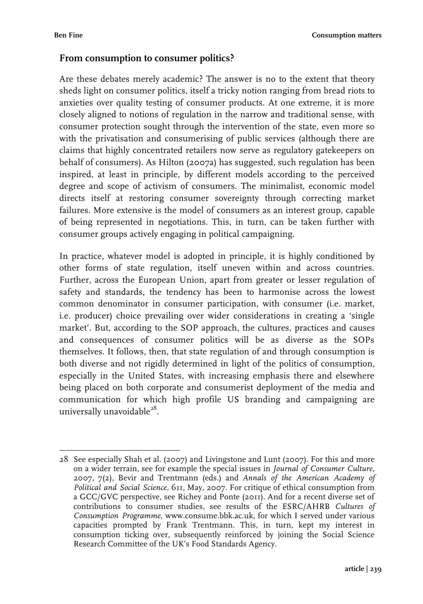#### **From consumption to consumer politics?**

Are these debates merely academic? The answer is no to the extent that theory sheds light on consumer politics, itself a tricky notion ranging from bread riots to anxieties over quality testing of consumer products. At one extreme, it is more closely aligned to notions of regulation in the narrow and traditional sense, with consumer protection sought through the intervention of the state, even more so with the privatisation and consumerising of public services (although there are claims that highly concentrated retailers now serve as regulatory gatekeepers on behalf of consumers). As Hilton (2007a) has suggested, such regulation has been inspired, at least in principle, by different models according to the perceived degree and scope of activism of consumers. The minimalist, economic model directs itself at restoring consumer sovereignty through correcting market failures. More extensive is the model of consumers as an interest group, capable of being represented in negotiations. This, in turn, can be taken further with consumer groups actively engaging in political campaigning.

In practice, whatever model is adopted in principle, it is highly conditioned by other forms of state regulation, itself uneven within and across countries. Further, across the European Union, apart from greater or lesser regulation of safety and standards, the tendency has been to harmonise across the lowest common denominator in consumer participation, with consumer (i.e. market, i.e. producer) choice prevailing over wider considerations in creating a 'single market'. But, according to the SOP approach, the cultures, practices and causes and consequences of consumer politics will be as diverse as the SOPs themselves. It follows, then, that state regulation of and through consumption is both diverse and not rigidly determined in light of the politics of consumption, especially in the United States, with increasing emphasis there and elsewhere being placed on both corporate and consumerist deployment of the media and communication for which high profile US branding and campaigning are universally unavoidable $^{28}$ .

 28 See especially Shah et al. (2007) and Livingstone and Lunt (2007). For this and more on a wider terrain, see for example the special issues in *Journal of Consumer Culture*, 2007, 7(2), Bevir and Trentmann (eds.) and *Annals of the American Academy of Political and Social Science*, 611, May, 2007. For critique of ethical consumption from a GCC/GVC perspective, see Richey and Ponte (2011). And for a recent diverse set of contributions to consumer studies, see results of the ESRC/AHRB *Cultures of Consumption Programme*, www.consume.bbk.ac.uk, for which I served under various capacities prompted by Frank Trentmann. This, in turn, kept my interest in consumption ticking over, subsequently reinforced by joining the Social Science Research Committee of the UK's Food Standards Agency.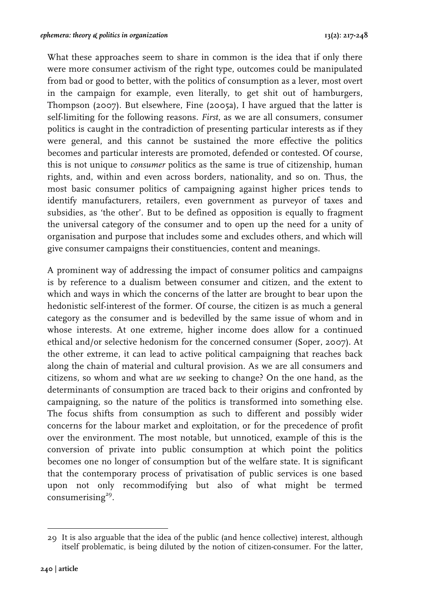What these approaches seem to share in common is the idea that if only there were more consumer activism of the right type, outcomes could be manipulated from bad or good to better, with the politics of consumption as a lever, most overt in the campaign for example, even literally, to get shit out of hamburgers, Thompson (2007). But elsewhere, Fine (2005a), I have argued that the latter is self-limiting for the following reasons. *First*, as we are all consumers, consumer politics is caught in the contradiction of presenting particular interests as if they were general, and this cannot be sustained the more effective the politics becomes and particular interests are promoted, defended or contested. Of course, this is not unique to *consumer* politics as the same is true of citizenship, human rights, and, within and even across borders, nationality, and so on. Thus, the most basic consumer politics of campaigning against higher prices tends to identify manufacturers, retailers, even government as purveyor of taxes and subsidies, as 'the other'. But to be defined as opposition is equally to fragment the universal category of the consumer and to open up the need for a unity of organisation and purpose that includes some and excludes others, and which will give consumer campaigns their constituencies, content and meanings.

A prominent way of addressing the impact of consumer politics and campaigns is by reference to a dualism between consumer and citizen, and the extent to which and ways in which the concerns of the latter are brought to bear upon the hedonistic self-interest of the former. Of course, the citizen is as much a general category as the consumer and is bedevilled by the same issue of whom and in whose interests. At one extreme, higher income does allow for a continued ethical and/or selective hedonism for the concerned consumer (Soper, 2007). At the other extreme, it can lead to active political campaigning that reaches back along the chain of material and cultural provision. As we are all consumers and citizens, so whom and what are *we* seeking to change? On the one hand, as the determinants of consumption are traced back to their origins and confronted by campaigning, so the nature of the politics is transformed into something else. The focus shifts from consumption as such to different and possibly wider concerns for the labour market and exploitation, or for the precedence of profit over the environment. The most notable, but unnoticed, example of this is the conversion of private into public consumption at which point the politics becomes one no longer of consumption but of the welfare state. It is significant that the contemporary process of privatisation of public services is one based upon not only recommodifying but also of what might be termed consumerising $29$ .

 29 It is also arguable that the idea of the public (and hence collective) interest, although itself problematic, is being diluted by the notion of citizen-consumer. For the latter,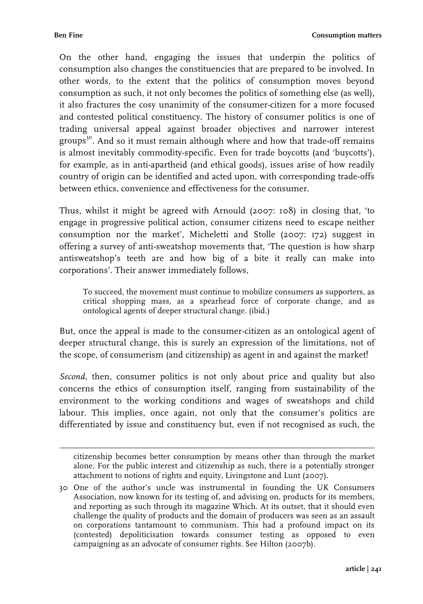**Ben Fine Consumption matters**

On the other hand, engaging the issues that underpin the politics of consumption also changes the constituencies that are prepared to be involved. In other words, to the extent that the politics of consumption moves beyond consumption as such, it not only becomes the politics of something else (as well), it also fractures the cosy unanimity of the consumer-citizen for a more focused and contested political constituency. The history of consumer politics is one of trading universal appeal against broader objectives and narrower interest groups<sup>30</sup>. And so it must remain although where and how that trade-off remains is almost inevitably commodity-specific. Even for trade boycotts (and 'buycotts'), for example, as in anti-apartheid (and ethical goods), issues arise of how readily country of origin can be identified and acted upon, with corresponding trade-offs between ethics, convenience and effectiveness for the consumer.

Thus, whilst it might be agreed with Arnould (2007: 108) in closing that, 'to engage in progressive political action, consumer citizens need to escape neither consumption nor the market', Micheletti and Stolle (2007: 172) suggest in offering a survey of anti-sweatshop movements that, 'The question is how sharp antisweatshop's teeth are and how big of a bite it really can make into corporations'. Their answer immediately follows,

To succeed, the movement must continue to mobilize consumers as supporters, as critical shopping mass, as a spearhead force of corporate change, and as ontological agents of deeper structural change. (ibid*.*)

But, once the appeal is made to the consumer-citizen as an ontological agent of deeper structural change, this is surely an expression of the limitations, not of the scope, of consumerism (and citizenship) as agent in and against the market!

*Second*, then, consumer politics is not only about price and quality but also concerns the ethics of consumption itself, ranging from sustainability of the environment to the working conditions and wages of sweatshops and child labour. This implies, once again, not only that the consumer's politics are differentiated by issue and constituency but, even if not recognised as such, the

 citizenship becomes better consumption by means other than through the market alone. For the public interest and citizenship as such, there is a potentially stronger attachment to notions of rights and equity, Livingstone and Lunt (2007).

<sup>30</sup> One of the author's uncle was instrumental in founding the UK Consumers Association, now known for its testing of, and advising on, products for its members, and reporting as such through its magazine Which. At its outset, that it should even challenge the quality of products and the domain of producers was seen as an assault on corporations tantamount to communism. This had a profound impact on its (contested) depoliticisation towards consumer testing as opposed to even campaigning as an advocate of consumer rights. See Hilton (2007b).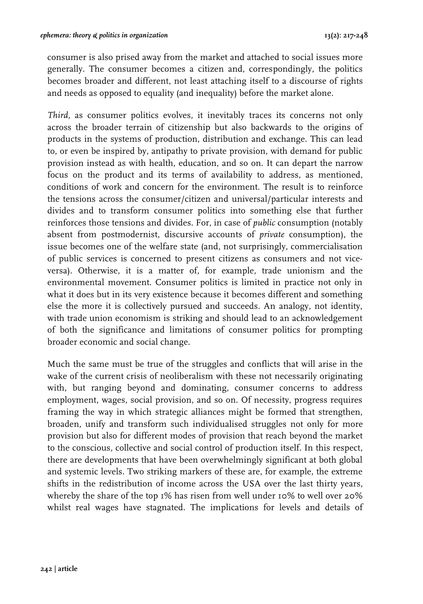consumer is also prised away from the market and attached to social issues more generally. The consumer becomes a citizen and, correspondingly, the politics becomes broader and different, not least attaching itself to a discourse of rights and needs as opposed to equality (and inequality) before the market alone.

*Third*, as consumer politics evolves, it inevitably traces its concerns not only across the broader terrain of citizenship but also backwards to the origins of products in the systems of production, distribution and exchange. This can lead to, or even be inspired by, antipathy to private provision, with demand for public provision instead as with health, education, and so on. It can depart the narrow focus on the product and its terms of availability to address, as mentioned, conditions of work and concern for the environment. The result is to reinforce the tensions across the consumer/citizen and universal/particular interests and divides and to transform consumer politics into something else that further reinforces those tensions and divides. For, in case of *public* consumption (notably absent from postmodernist, discursive accounts of *private* consumption), the issue becomes one of the welfare state (and, not surprisingly, commercialisation of public services is concerned to present citizens as consumers and not viceversa). Otherwise, it is a matter of, for example, trade unionism and the environmental movement. Consumer politics is limited in practice not only in what it does but in its very existence because it becomes different and something else the more it is collectively pursued and succeeds. An analogy, not identity, with trade union economism is striking and should lead to an acknowledgement of both the significance and limitations of consumer politics for prompting broader economic and social change.

Much the same must be true of the struggles and conflicts that will arise in the wake of the current crisis of neoliberalism with these not necessarily originating with, but ranging beyond and dominating, consumer concerns to address employment, wages, social provision, and so on. Of necessity, progress requires framing the way in which strategic alliances might be formed that strengthen, broaden, unify and transform such individualised struggles not only for more provision but also for different modes of provision that reach beyond the market to the conscious, collective and social control of production itself. In this respect, there are developments that have been overwhelmingly significant at both global and systemic levels. Two striking markers of these are, for example, the extreme shifts in the redistribution of income across the USA over the last thirty years, whereby the share of the top 1% has risen from well under 10% to well over 20% whilst real wages have stagnated. The implications for levels and details of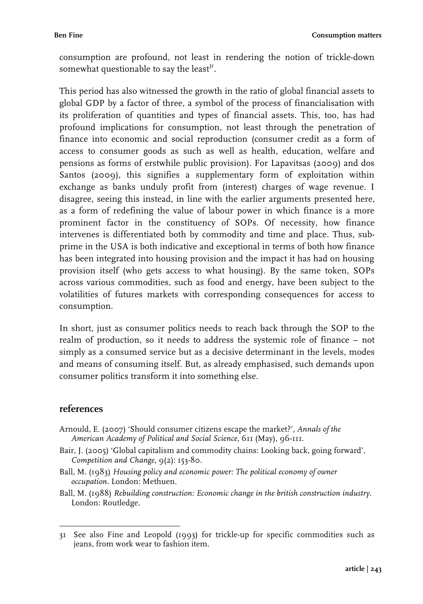consumption are profound, not least in rendering the notion of trickle-down somewhat questionable to say the least<sup>31</sup>.

This period has also witnessed the growth in the ratio of global financial assets to global GDP by a factor of three, a symbol of the process of financialisation with its proliferation of quantities and types of financial assets. This, too, has had profound implications for consumption, not least through the penetration of finance into economic and social reproduction (consumer credit as a form of access to consumer goods as such as well as health, education, welfare and pensions as forms of erstwhile public provision). For Lapavitsas (2009) and dos Santos (2009), this signifies a supplementary form of exploitation within exchange as banks unduly profit from (interest) charges of wage revenue. I disagree, seeing this instead, in line with the earlier arguments presented here, as a form of redefining the value of labour power in which finance is a more prominent factor in the constituency of SOPs. Of necessity, how finance intervenes is differentiated both by commodity and time and place. Thus, subprime in the USA is both indicative and exceptional in terms of both how finance has been integrated into housing provision and the impact it has had on housing provision itself (who gets access to what housing). By the same token, SOPs across various commodities, such as food and energy, have been subject to the volatilities of futures markets with corresponding consequences for access to consumption.

In short, just as consumer politics needs to reach back through the SOP to the realm of production, so it needs to address the systemic role of finance – not simply as a consumed service but as a decisive determinant in the levels, modes and means of consuming itself. But, as already emphasised, such demands upon consumer politics transform it into something else.

#### **references**

- Arnould, E. (2007) 'Should consumer citizens escape the market?', *Annals of the American Academy of Political and Social Science*, 611 (May), 96-111.
- Bair, J. (2005) 'Global capitalism and commodity chains: Looking back, going forward', *Competition and Change*, 9(2): 153-80.
- Ball, M. (1983) *Housing policy and economic power: The political economy of owner occupation.* London: Methuen.
- Ball, M. (1988) *Rebuilding construction: Economic change in the british construction industry.* London: Routledge.

 31 See also Fine and Leopold (1993) for trickle-up for specific commodities such as jeans, from work wear to fashion item.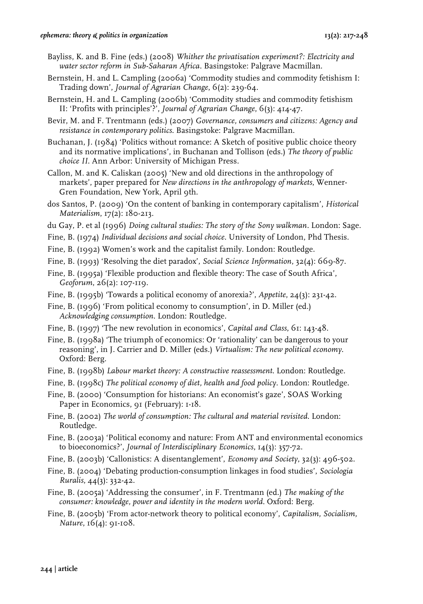#### *ephemera: theory & politics in organization* **13(2): 217-248**

- Bayliss, K. and B. Fine (eds.) (2008) *Whither the privatisation experiment?: Electricity and water sector reform in Sub-Saharan Africa.* Basingstoke: Palgrave Macmillan.
- Bernstein, H. and L. Campling (2006a) 'Commodity studies and commodity fetishism I: Trading down', *Journal of Agrarian Change*, 6(2): 239-64.
- Bernstein, H. and L. Campling (2006b) 'Commodity studies and commodity fetishism II: 'Profits with principles'?', *Journal of Agrarian Change*, 6(3): 414-47.
- Bevir, M. and F. Trentmann (eds.) (2007) *Governance, consumers and citizens: Agency and resistance in contemporary politics*. Basingstoke: Palgrave Macmillan.
- Buchanan, J. (1984) 'Politics without romance: A Sketch of positive public choice theory and its normative implications', in Buchanan and Tollison (eds.) *The theory of public choice II*. Ann Arbor: University of Michigan Press.
- Callon, M. and K. Caliskan (2005) 'New and old directions in the anthropology of markets', paper prepared for *New directions in the anthropology of markets*, Wenner-Gren Foundation, New York, April 9th.
- dos Santos, P. (2009) 'On the content of banking in contemporary capitalism', *Historical Materialism*, 17(2): 180-213.
- du Gay, P. et al (1996) *Doing cultural studies: The story of the Sony walkman.* London: Sage.
- Fine, B. (1974) *Individual decisions and social choice*. University of London, Phd Thesis.
- Fine, B. (1992) Women's work and the capitalist family. London: Routledge.
- Fine, B. (1993) 'Resolving the diet paradox', *Social Science Information*, 32(4): 669-87.
- Fine, B. (1995a) 'Flexible production and flexible theory: The case of South Africa', *Geoforum*, 26(2): 107-119.
- Fine, B. (1995b) 'Towards a political economy of anorexia?', *Appetite*, 24(3): 231-42.
- Fine, B. (1996) 'From political economy to consumption', in D. Miller (ed.) *Acknowledging consumption*. London: Routledge.
- Fine, B. (1997) 'The new revolution in economics', *Capital and Class*, 61: 143-48.
- Fine, B. (1998a) 'The triumph of economics: Or 'rationality' can be dangerous to your reasoning', in J. Carrier and D. Miller (eds.) *Virtualism: The new political economy*. Oxford: Berg.
- Fine, B. (1998b) *Labour market theory: A constructive reassessment*. London: Routledge.
- Fine, B. (1998c) *The political economy of diet, health and food policy*. London: Routledge.
- Fine, B. (2000) 'Consumption for historians: An economist's gaze', SOAS Working Paper in Economics, 91 (February): 1-18.
- Fine, B. (2002) *The world of consumption: The cultural and material revisited*. London: Routledge.
- Fine, B. (2003a) 'Political economy and nature: From ANT and environmental economics to bioeconomics?', *Journal of Interdisciplinary Economics*, 14(3): 357-72.
- Fine, B. (2003b) 'Callonistics: A disentanglement', *Economy and Society*, 32(3): 496-502.
- Fine, B. (2004) 'Debating production-consumption linkages in food studies', *Sociologia Ruralis*, 44(3): 332-42.
- Fine, B. (2005a) 'Addressing the consumer', in F. Trentmann (ed.) *The making of the consumer: knowledge, power and identity in the modern world*. Oxford: Berg.
- Fine, B. (2005b) 'From actor-network theory to political economy', *Capitalism, Socialism, Nature*, 16(4): 91-108.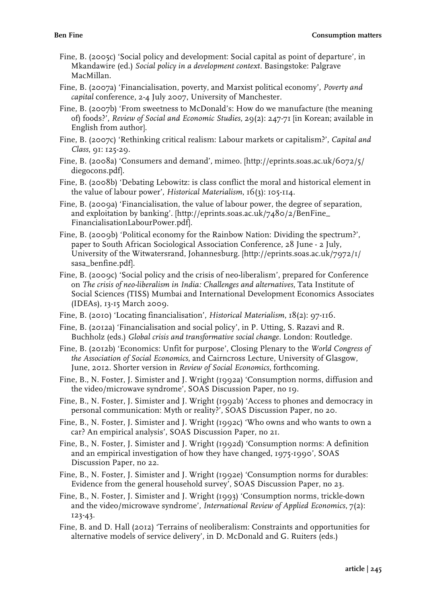- Fine, B. (2005c) 'Social policy and development: Social capital as point of departure', in Mkandawire (ed.) *Social policy in a development context.* Basingstoke: Palgrave MacMillan.
- Fine, B. (2007a) 'Financialisation, poverty, and Marxist political economy', *Poverty and capital* conference, 2-4 July 2007, University of Manchester.
- Fine, B. (2007b) 'From sweetness to McDonald's: How do we manufacture (the meaning of) foods?', *Review of Social and Economic Studies*, 29(2): 247-71 [in Korean; available in English from author].
- Fine, B. (2007c) 'Rethinking critical realism: Labour markets or capitalism?', *Capital and Class*, 91: 125-29.
- Fine, B. (2008a) 'Consumers and demand', mimeo. [http://eprints.soas.ac.uk/6072/5/ diegocons.pdf].
- Fine, B. (2008b) 'Debating Lebowitz: is class conflict the moral and historical element in the value of labour power', *Historical Materialism*, 16(3): 105-114.
- Fine, B. (2009a) 'Financialisation, the value of labour power, the degree of separation, and exploitation by banking'. [http://eprints.soas.ac.uk/7480/2/BenFine\_ FinancialisationLabourPower.pdf].
- Fine, B. (2009b) 'Political economy for the Rainbow Nation: Dividing the spectrum?', paper to South African Sociological Association Conference, 28 June - 2 July, University of the Witwatersrand, Johannesburg. [http://eprints.soas.ac.uk/7972/1/ sasa\_benfine.pdf].
- Fine, B. (2009c) 'Social policy and the crisis of neo-liberalism', prepared for Conference on *The crisis of neo-liberalism in India: Challenges and alternatives*, Tata Institute of Social Sciences (TISS) Mumbai and International Development Economics Associates (IDEAs), 13-15 March 2009.
- Fine, B. (2010) 'Locating financialisation', *Historical Materialism*, 18(2): 97-116.
- Fine, B. (2012a) 'Financialisation and social policy', in P. Utting, S. Razavi and R. Buchholz (eds.) *Global crisis and transformative social change.* London: Routledge.
- Fine, B. (2012b) 'Economics: Unfit for purpose', Closing Plenary to the *World Congress of the Association of Social Economics*, and Cairncross Lecture, University of Glasgow, June, 2012. Shorter version in *Review of Social Economics,* forthcoming.
- Fine, B., N. Foster, J. Simister and J. Wright (1992a) 'Consumption norms, diffusion and the video/microwave syndrome', SOAS Discussion Paper, no 19.
- Fine, B., N. Foster, J. Simister and J. Wright (1992b) 'Access to phones and democracy in personal communication: Myth or reality?', SOAS Discussion Paper, no 20.
- Fine, B., N. Foster, J. Simister and J. Wright (1992c) 'Who owns and who wants to own a car? An empirical analysis', SOAS Discussion Paper, no 21.
- Fine, B., N. Foster, J. Simister and J. Wright (1992d) 'Consumption norms: A definition and an empirical investigation of how they have changed, 1975-1990', SOAS Discussion Paper, no 22.
- Fine, B., N. Foster, J. Simister and J. Wright (1992e) 'Consumption norms for durables: Evidence from the general household survey', SOAS Discussion Paper, no 23.
- Fine, B., N. Foster, J. Simister and J. Wright (1993) 'Consumption norms, trickle-down and the video/microwave syndrome', *International Review of Applied Economics*, 7(2): 123-43.
- Fine, B. and D. Hall (2012) 'Terrains of neoliberalism: Constraints and opportunities for alternative models of service delivery', in D. McDonald and G. Ruiters (eds.)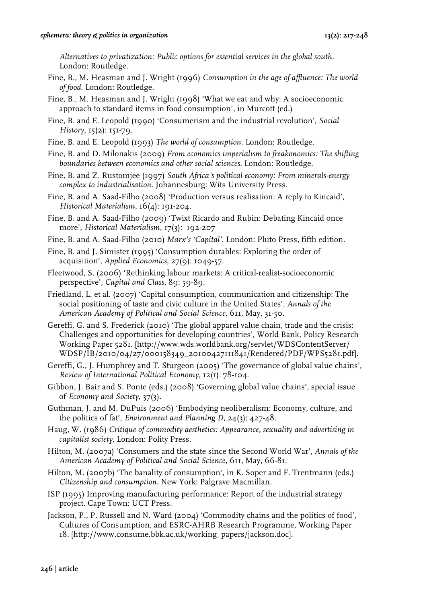*Alternatives to privatization: Public options for essential services in the global south.* London: Routledge.

- Fine, B., M. Heasman and J. Wright (1996) *Consumption in the age of affluence: The world of food*. London: Routledge.
- Fine, B., M. Heasman and J. Wright (1998) 'What we eat and why: A socioeconomic approach to standard items in food consumption', in Murcott (ed.)
- Fine, B. and E. Leopold (1990) 'Consumerism and the industrial revolution', *Social History*, 15(2): 151-79.
- Fine, B. and E. Leopold (1993) *The world of consumption*. London: Routledge.
- Fine, B. and D. Milonakis (2009) *From economics imperialism to freakonomics: The shifting boundaries between economics and other social sciences*. London: Routledge.
- Fine, B. and Z. Rustomjee (1997) *South Africa's political economy: From minerals-energy complex to industrialisation.* Johannesburg: Wits University Press.
- Fine, B. and A. Saad-Filho (2008) 'Production versus realisation: A reply to Kincaid', *Historical Materialism*, 16(4): 191-204.
- Fine, B. and A. Saad-Filho (2009) 'Twixt Ricardo and Rubin: Debating Kincaid once more', *Historical Materialism*, 17(3): 192-207
- Fine, B. and A. Saad-Filho (2010) *Marx's 'Capital'*. London: Pluto Press, fifth edition.
- Fine, B. and J. Simister (1995) 'Consumption durables: Exploring the order of acquisition', *Applied Economics*, 27(9): 1049-57.
- Fleetwood, S. (2006) 'Rethinking labour markets: A critical-realist-socioeconomic perspective'*, Capital and Class*, 89: 59-89.
- Friedland, L. et al. (2007) 'Capital consumption, communication and citizenship: The social positioning of taste and civic culture in the United States', *Annals of the American Academy of Political and Social Science*, 611, May, 31-50.
- Gereffi, G. and S. Frederick (2010) 'The global apparel value chain, trade and the crisis: Challenges and opportunities for developing countries', World Bank, Policy Research Working Paper 5281. [http://www.wds.worldbank.org/servlet/WDSContentServer/ WDSP/IB/2010/04/27/000158349\_20100427111841/Rendered/PDF/WPS5281.pdf].
- Gereffi, G., J. Humphrey and T. Sturgeon (2005) 'The governance of global value chains', *Review of International Political Economy*, 12(1): 78-104.
- Gibbon, J. Bair and S. Ponte (eds.) (2008) 'Governing global value chains', special issue of *Economy and Society*, 37(3).
- Guthman, J. and M. DuPuis (2006) 'Embodying neoliberalism: Economy, culture, and the politics of fat', *Environment and Planning D*, 24(3): 427-48.
- Haug, W. (1986) *Critique of commodity aesthetics: Appearance, sexuality and advertising in capitalist society*. London: Polity Press.
- Hilton, M. (2007a) 'Consumers and the state since the Second World War', *Annals of the American Academy of Political and Social Science*, 611, May, 66-81.
- Hilton, M. (2007b) 'The banality of consumption', in K. Soper and F. Trentmann (eds.) *Citizenship and consumption*. New York: Palgrave Macmillan.
- ISP (1995) Improving manufacturing performance: Report of the industrial strategy project. Cape Town: UCT Press.
- Jackson, P., P. Russell and N. Ward (2004) 'Commodity chains and the politics of food', Cultures of Consumption, and ESRC-AHRB Research Programme, Working Paper 18. [http://www.consume.bbk.ac.uk/working\_papers/jackson.doc].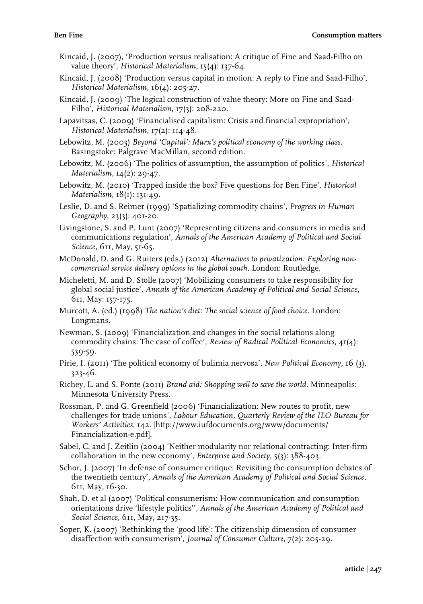- Kincaid, J. (2007), 'Production versus realisation: A critique of Fine and Saad-Filho on value theory', *Historical Materialism*, 15(4): 137-64.
- Kincaid, J. (2008) 'Production versus capital in motion: A reply to Fine and Saad-Filho', *Historical Materialism*, 16(4): 205-27.
- Kincaid, J. (2009) 'The logical construction of value theory: More on Fine and Saad-Filho', *Historical Materialism*, 17(3): 208-220.
- Lapavitsas, C. (2009) 'Financialised capitalism: Crisis and financial expropriation', *Historical Materialism*, 17(2): 114-48.
- Lebowitz, M. (2003) *Beyond 'Capital': Marx's political economy of the working class*. Basingstoke: Palgrave MacMillan, second edition.
- Lebowitz, M. (2006) 'The politics of assumption, the assumption of politics', *Historical Materialism*, 14(2): 29-47.
- Lebowitz, M. (2010) 'Trapped inside the box? Five questions for Ben Fine', *Historical Materialism*, 18(1): 131-49.
- Leslie, D. and S. Reimer (1999) 'Spatializing commodity chains', *Progress in Human Geography*, 23(3): 401-20.
- Livingstone, S. and P. Lunt (2007) 'Representing citizens and consumers in media and communications regulation', *Annals of the American Academy of Political and Social Science*, 611, May, 51-65.
- McDonald, D. and G. Ruiters (eds.) (2012) *Alternatives to privatization: Exploring noncommercial service delivery options in the global south*. London: Routledge.
- Micheletti, M. and D. Stolle (2007) 'Mobilizing consumers to take responsibility for global social justice', *Annals of the American Academy of Political and Social Science*, 611, May: 157-175.
- Murcott, A. (ed.) (1998) *The nation's diet: The social science of food choice*. London: Longmans.
- Newman, S. (2009) 'Financialization and changes in the social relations along commodity chains: The case of coffee', *Review of Radical Political Economics*, 41(4): 539-59.
- Pirie, I. (2011) 'The political economy of bulimia nervosa', *New Political Economy*, 16 (3), 323-46.
- Richey, L. and S. Ponte (2011) *Brand aid: Shopping well to save the world*. Minneapolis: Minnesota University Press.
- Rossman, P. and G. Greenfield (2006) 'Financialization: New routes to profit, new challenges for trade unions', *Labour Education, Quarterly Review of the ILO Bureau for Workers' Activities*, 142. [http://www.iufdocuments.org/www/documents/ Financialization-e.pdf].
- Sabel, C. and J. Zeitlin (2004) 'Neither modularity nor relational contracting: Inter-firm collaboration in the new economy', *Enterprise and Society*, 5(3): 388-403.
- Schor, J. (2007) 'In defense of consumer critique: Revisiting the consumption debates of the twentieth century', *Annals of the American Academy of Political and Social Science*, 611, May, 16-30.
- Shah, D. et al (2007) 'Political consumerism: How communication and consumption orientations drive 'lifestyle politics'', *Annals of the American Academy of Political and Social Science,* 611, May, 217-35.
- Soper, K. (2007) 'Rethinking the 'good life': The citizenship dimension of consumer disaffection with consumerism', *Journal of Consumer Culture*, 7(2): 205-29.